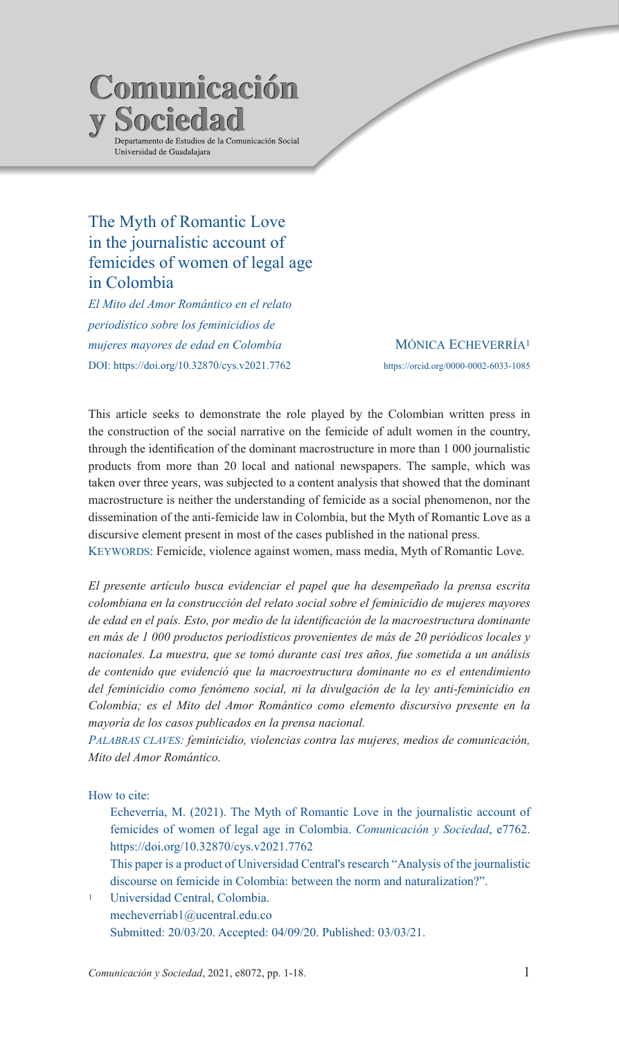# Comunicación **Sociedad** Departamento de Estudios de la Comunicación Social .<br>Universidad de Guadalajara

# The Myth of Romantic Love in the journalistic account of femicides of women of legal age in Colombia

*El Mito del Amor Romántico en el relato periodístico sobre los feminicidios de mujeres mayores de edad en Colombia*  DOI: https://doi.org/10.32870/cys.v2021.7762

MÓNICA ECHEVERRÍA<sup>1</sup> https://orcid.org/0000-0002-6033-1085

This article seeks to demonstrate the role played by the Colombian written press in the construction of the social narrative on the femicide of adult women in the country, through the identification of the dominant macrostructure in more than 1 000 journalistic products from more than 20 local and national newspapers. The sample, which was taken over three years, was subjected to a content analysis that showed that the dominant macrostructure is neither the understanding of femicide as a social phenomenon, nor the dissemination of the anti-femicide law in Colombia, but the Myth of Romantic Love as a discursive element present in most of the cases published in the national press.

Keywords: Femicide, violence against women, mass media, Myth of Romantic Love.

*El presente artículo busca evidenciar el papel que ha desempeñado la prensa escrita colombiana en la construcción del relato social sobre el feminicidio de mujeres mayores de edad en el país. Esto, por medio de la identificación de la macroestructura dominante en más de 1 000 productos periodísticos provenientes de más de 20 periódicos locales y nacionales. La muestra, que se tomó durante casi tres años, fue sometida a un análisis de contenido que evidenció que la macroestructura dominante no es el entendimiento del feminicidio como fenómeno social, ni la divulgación de la ley anti-feminicidio en Colombia; es el Mito del Amor Romántico como elemento discursivo presente en la mayoría de los casos publicados en la prensa nacional.* 

*Palabras claves: feminicidio, violencias contra las mujeres, medios de comunicación, Mito del Amor Romántico.*

How to cite:

- Echeverría, M. (2021). The Myth of Romantic Love in the journalistic account of femicides of women of legal age in Colombia. *Comunicación y Sociedad*, e7762. https://doi.org/10.32870/cys.v2021.7762
- This paper is a product of Universidad Central's research "Analysis of the journalistic discourse on femicide in Colombia: between the norm and naturalization?".
- Universidad Central, Colombia. mecheverriab1@ucentral.edu.co Submitted: 20/03/20. Accepted: 04/09/20. Published: 03/03/21.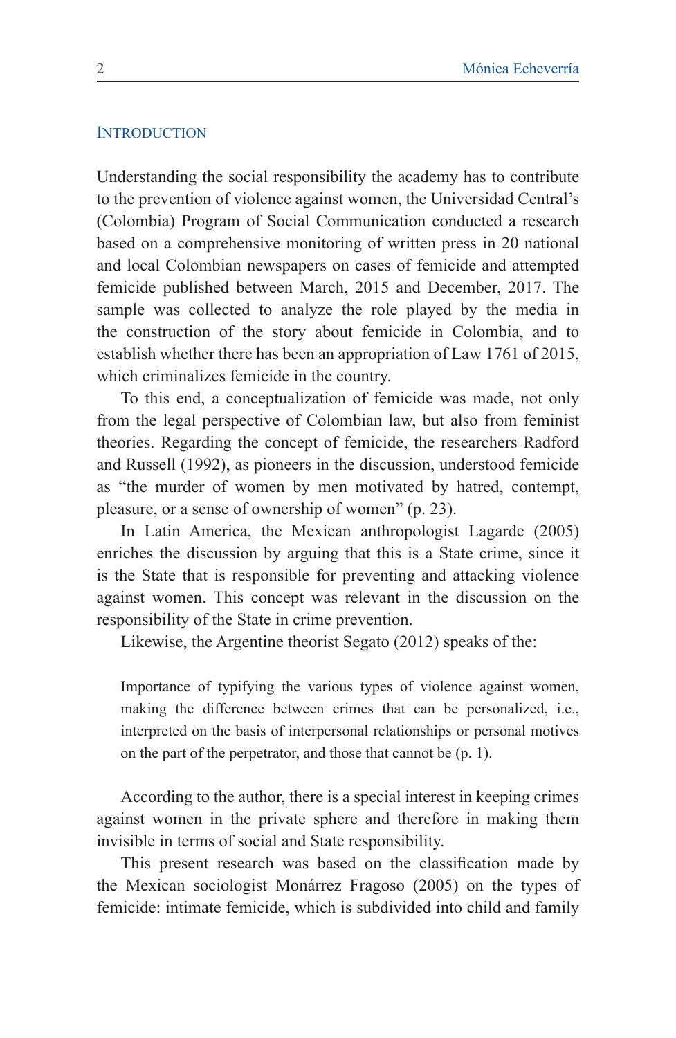### **INTRODUCTION**

Understanding the social responsibility the academy has to contribute to the prevention of violence against women, the Universidad Central's (Colombia) Program of Social Communication conducted a research based on a comprehensive monitoring of written press in 20 national and local Colombian newspapers on cases of femicide and attempted femicide published between March, 2015 and December, 2017. The sample was collected to analyze the role played by the media in the construction of the story about femicide in Colombia, and to establish whether there has been an appropriation of Law 1761 of 2015, which criminalizes femicide in the country.

To this end, a conceptualization of femicide was made, not only from the legal perspective of Colombian law, but also from feminist theories. Regarding the concept of femicide, the researchers Radford and Russell (1992), as pioneers in the discussion, understood femicide as "the murder of women by men motivated by hatred, contempt, pleasure, or a sense of ownership of women" (p. 23).

In Latin America, the Mexican anthropologist Lagarde (2005) enriches the discussion by arguing that this is a State crime, since it is the State that is responsible for preventing and attacking violence against women. This concept was relevant in the discussion on the responsibility of the State in crime prevention.

Likewise, the Argentine theorist Segato (2012) speaks of the:

Importance of typifying the various types of violence against women, making the difference between crimes that can be personalized, i.e., interpreted on the basis of interpersonal relationships or personal motives on the part of the perpetrator, and those that cannot be (p. 1).

According to the author, there is a special interest in keeping crimes against women in the private sphere and therefore in making them invisible in terms of social and State responsibility.

This present research was based on the classification made by the Mexican sociologist Monárrez Fragoso (2005) on the types of femicide: intimate femicide, which is subdivided into child and family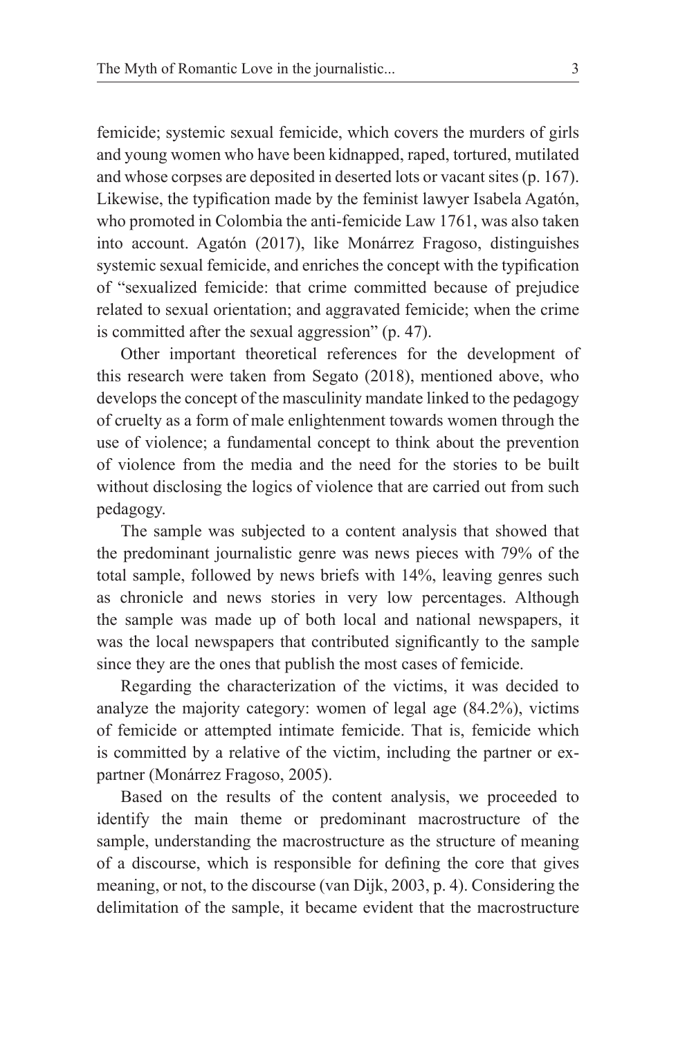femicide; systemic sexual femicide, which covers the murders of girls and young women who have been kidnapped, raped, tortured, mutilated and whose corpses are deposited in deserted lots or vacant sites (p. 167). Likewise, the typification made by the feminist lawyer Isabela Agatón, who promoted in Colombia the anti-femicide Law 1761, was also taken into account. Agatón (2017), like Monárrez Fragoso, distinguishes systemic sexual femicide, and enriches the concept with the typification of "sexualized femicide: that crime committed because of prejudice related to sexual orientation; and aggravated femicide; when the crime is committed after the sexual aggression" (p. 47).

Other important theoretical references for the development of this research were taken from Segato (2018), mentioned above, who develops the concept of the masculinity mandate linked to the pedagogy of cruelty as a form of male enlightenment towards women through the use of violence; a fundamental concept to think about the prevention of violence from the media and the need for the stories to be built without disclosing the logics of violence that are carried out from such pedagogy.

The sample was subjected to a content analysis that showed that the predominant journalistic genre was news pieces with 79% of the total sample, followed by news briefs with 14%, leaving genres such as chronicle and news stories in very low percentages. Although the sample was made up of both local and national newspapers, it was the local newspapers that contributed significantly to the sample since they are the ones that publish the most cases of femicide.

Regarding the characterization of the victims, it was decided to analyze the majority category: women of legal age (84.2%), victims of femicide or attempted intimate femicide. That is, femicide which is committed by a relative of the victim, including the partner or expartner (Monárrez Fragoso, 2005).

Based on the results of the content analysis, we proceeded to identify the main theme or predominant macrostructure of the sample, understanding the macrostructure as the structure of meaning of a discourse, which is responsible for defining the core that gives meaning, or not, to the discourse (van Dijk, 2003, p. 4). Considering the delimitation of the sample, it became evident that the macrostructure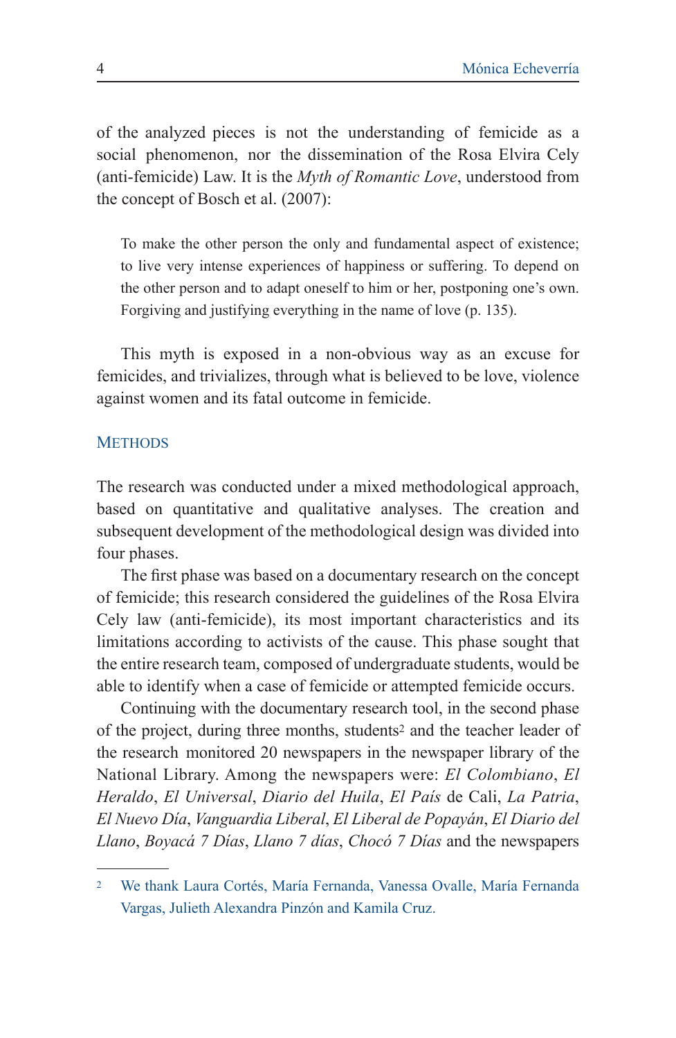of the analyzed pieces is not the understanding of femicide as a social phenomenon, nor the dissemination of the Rosa Elvira Cely (anti-femicide) Law. It is the *Myth of Romantic Love*, understood from the concept of Bosch et al. (2007):

To make the other person the only and fundamental aspect of existence; to live very intense experiences of happiness or suffering. To depend on the other person and to adapt oneself to him or her, postponing one's own. Forgiving and justifying everything in the name of love (p. 135).

This myth is exposed in a non-obvious way as an excuse for femicides, and trivializes, through what is believed to be love, violence against women and its fatal outcome in femicide.

#### **METHODS**

The research was conducted under a mixed methodological approach, based on quantitative and qualitative analyses. The creation and subsequent development of the methodological design was divided into four phases.

The first phase was based on a documentary research on the concept of femicide; this research considered the guidelines of the Rosa Elvira Cely law (anti-femicide), its most important characteristics and its limitations according to activists of the cause. This phase sought that the entire research team, composed of undergraduate students, would be able to identify when a case of femicide or attempted femicide occurs.

Continuing with the documentary research tool, in the second phase of the project, during three months, students2 and the teacher leader of the research monitored 20 newspapers in the newspaper library of the National Library. Among the newspapers were: *El Colombiano*, *El Heraldo*, *El Universal*, *Diario del Huila*, *El País* de Cali, *La Patria*, *El Nuevo Día*, *Vanguardia Liberal*, *El Liberal de Popayán*, *El Diario del Llano*, *Boyacá 7 Días*, *Llano 7 días*, *Chocó 7 Días* and the newspapers

<sup>2</sup> We thank Laura Cortés, María Fernanda, Vanessa Ovalle, María Fernanda Vargas, Julieth Alexandra Pinzón and Kamila Cruz.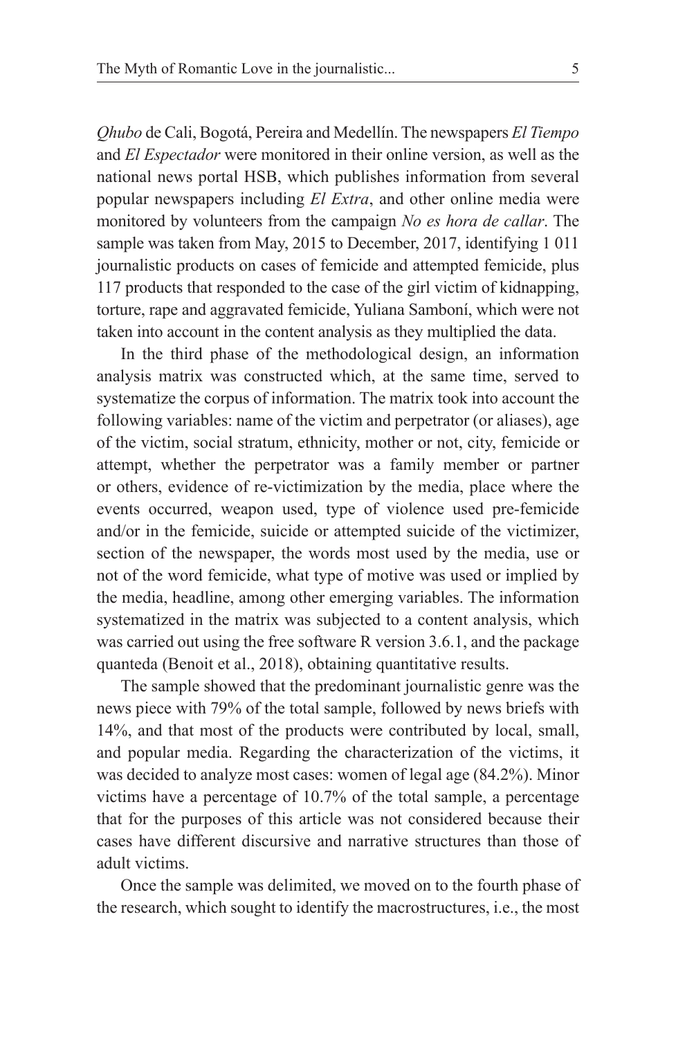*Qhubo* de Cali, Bogotá, Pereira and Medellín. The newspapers *El Tiempo*  and *El Espectador* were monitored in their online version, as well as the national news portal HSB, which publishes information from several popular newspapers including *El Extra*, and other online media were monitored by volunteers from the campaign *No es hora de callar*. The sample was taken from May, 2015 to December, 2017, identifying 1 011 journalistic products on cases of femicide and attempted femicide, plus 117 products that responded to the case of the girl victim of kidnapping, torture, rape and aggravated femicide, Yuliana Samboní, which were not taken into account in the content analysis as they multiplied the data.

In the third phase of the methodological design, an information analysis matrix was constructed which, at the same time, served to systematize the corpus of information. The matrix took into account the following variables: name of the victim and perpetrator (or aliases), age of the victim, social stratum, ethnicity, mother or not, city, femicide or attempt, whether the perpetrator was a family member or partner or others, evidence of re-victimization by the media, place where the events occurred, weapon used, type of violence used pre-femicide and/or in the femicide, suicide or attempted suicide of the victimizer, section of the newspaper, the words most used by the media, use or not of the word femicide, what type of motive was used or implied by the media, headline, among other emerging variables. The information systematized in the matrix was subjected to a content analysis, which was carried out using the free software R version 3.6.1, and the package quanteda (Benoit et al., 2018), obtaining quantitative results.

The sample showed that the predominant journalistic genre was the news piece with 79% of the total sample, followed by news briefs with 14%, and that most of the products were contributed by local, small, and popular media. Regarding the characterization of the victims, it was decided to analyze most cases: women of legal age (84.2%). Minor victims have a percentage of 10.7% of the total sample, a percentage that for the purposes of this article was not considered because their cases have different discursive and narrative structures than those of adult victims.

Once the sample was delimited, we moved on to the fourth phase of the research, which sought to identify the macrostructures, i.e., the most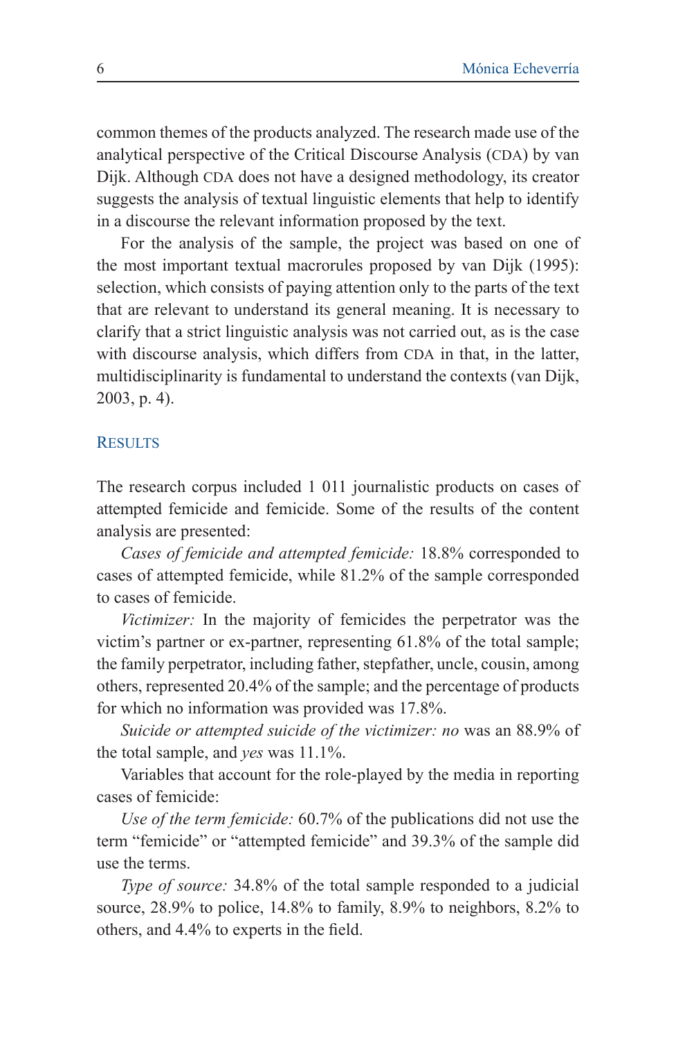common themes of the products analyzed. The research made use of the analytical perspective of the Critical Discourse Analysis (CDA) by van Dijk. Although CDA does not have a designed methodology, its creator suggests the analysis of textual linguistic elements that help to identify in a discourse the relevant information proposed by the text.

For the analysis of the sample, the project was based on one of the most important textual macrorules proposed by van Dijk (1995): selection, which consists of paying attention only to the parts of the text that are relevant to understand its general meaning. It is necessary to clarify that a strict linguistic analysis was not carried out, as is the case with discourse analysis, which differs from CDA in that, in the latter, multidisciplinarity is fundamental to understand the contexts (van Dijk, 2003, p. 4).

#### **RESULTS**

The research corpus included 1 011 journalistic products on cases of attempted femicide and femicide. Some of the results of the content analysis are presented:

*Cases of femicide and attempted femicide:* 18.8% corresponded to cases of attempted femicide, while 81.2% of the sample corresponded to cases of femicide.

*Victimizer:* In the majority of femicides the perpetrator was the victim's partner or ex-partner, representing 61.8% of the total sample; the family perpetrator, including father, stepfather, uncle, cousin, among others, represented 20.4% of the sample; and the percentage of products for which no information was provided was 17.8%.

*Suicide or attempted suicide of the victimizer: no* was an 88.9% of the total sample, and *yes* was 11.1%.

Variables that account for the role-played by the media in reporting cases of femicide:

*Use of the term femicide:* 60.7% of the publications did not use the term "femicide" or "attempted femicide" and 39.3% of the sample did use the terms.

*Type of source:* 34.8% of the total sample responded to a judicial source, 28.9% to police, 14.8% to family, 8.9% to neighbors, 8.2% to others, and 4.4% to experts in the field.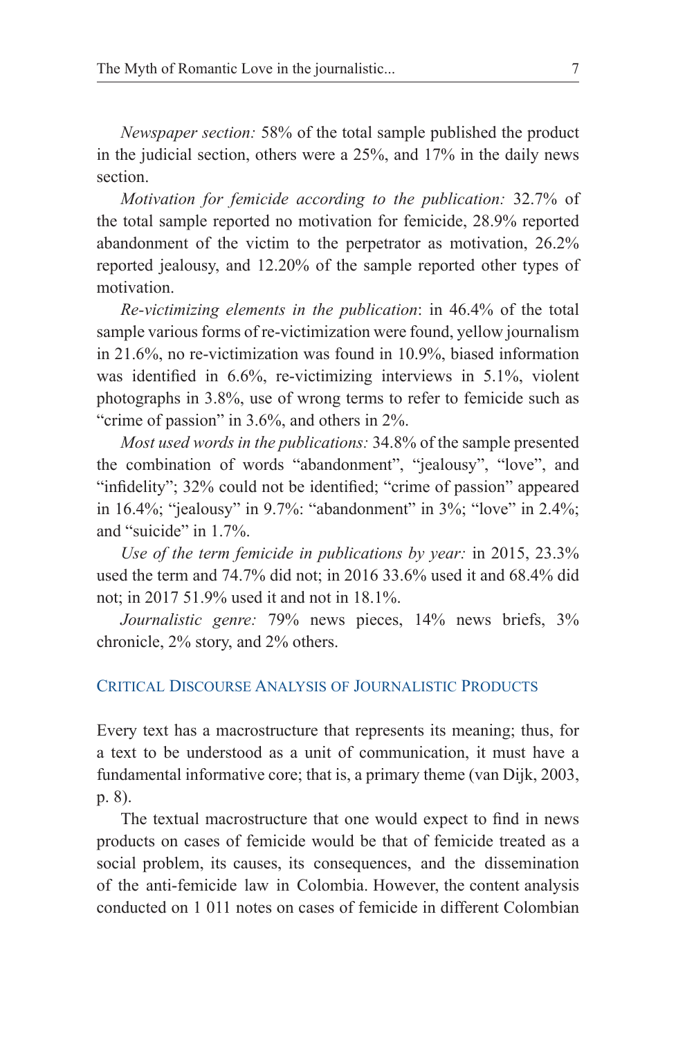*Newspaper section:* 58% of the total sample published the product in the judicial section, others were a 25%, and 17% in the daily news section.

*Motivation for femicide according to the publication:* 32.7% of the total sample reported no motivation for femicide, 28.9% reported abandonment of the victim to the perpetrator as motivation, 26.2% reported jealousy, and 12.20% of the sample reported other types of motivation.

*Re-victimizing elements in the publication*: in 46.4% of the total sample various forms of re-victimization were found, yellow journalism in 21.6%, no re-victimization was found in 10.9%, biased information was identified in 6.6%, re-victimizing interviews in 5.1%, violent photographs in 3.8%, use of wrong terms to refer to femicide such as "crime of passion" in 3.6%, and others in 2%.

*Most used words in the publications:* 34.8% of the sample presented the combination of words "abandonment", "jealousy", "love", and "infidelity"; 32% could not be identified; "crime of passion" appeared in 16.4%; "jealousy" in 9.7%: "abandonment" in 3%; "love" in 2.4%; and "suicide" in 1.7%.

*Use of the term femicide in publications by year:* in 2015, 23.3% used the term and 74.7% did not; in 2016 33.6% used it and 68.4% did not; in 2017 51.9% used it and not in 18.1%.

*Journalistic genre:* 79% news pieces, 14% news briefs, 3% chronicle, 2% story, and 2% others.

### Critical Discourse Analysis of Journalistic Products

Every text has a macrostructure that represents its meaning; thus, for a text to be understood as a unit of communication, it must have a fundamental informative core; that is, a primary theme (van Dijk, 2003, p. 8).

The textual macrostructure that one would expect to find in news products on cases of femicide would be that of femicide treated as a social problem, its causes, its consequences, and the dissemination of the anti-femicide law in Colombia. However, the content analysis conducted on 1 011 notes on cases of femicide in different Colombian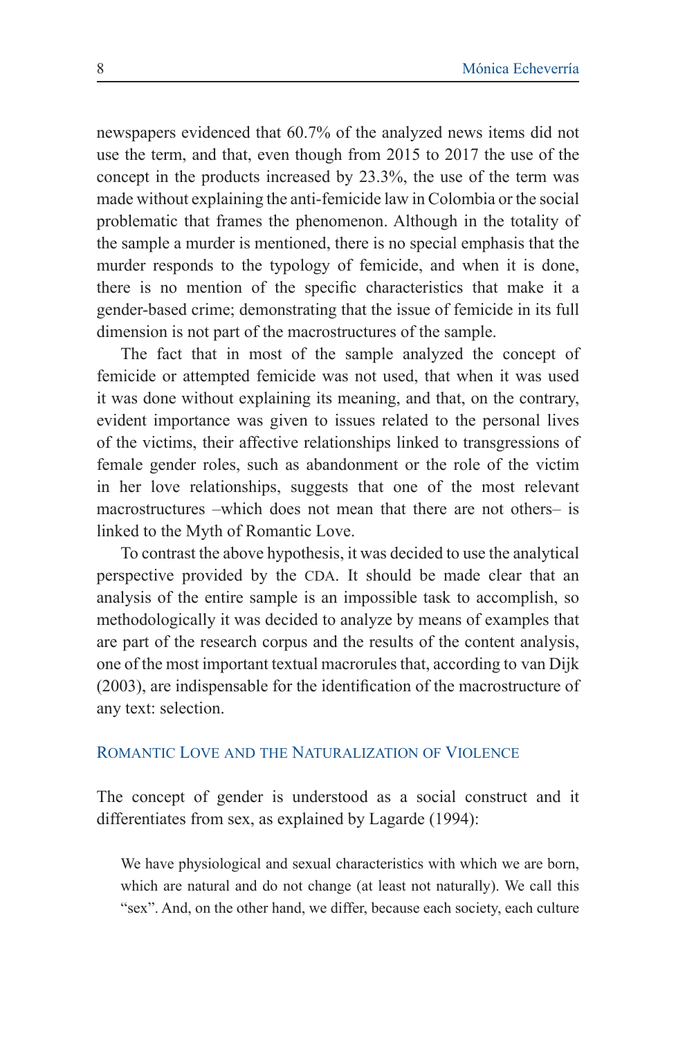newspapers evidenced that 60.7% of the analyzed news items did not use the term, and that, even though from 2015 to 2017 the use of the concept in the products increased by 23.3%, the use of the term was made without explaining the anti-femicide law in Colombia or the social problematic that frames the phenomenon. Although in the totality of the sample a murder is mentioned, there is no special emphasis that the murder responds to the typology of femicide, and when it is done, there is no mention of the specific characteristics that make it a gender-based crime; demonstrating that the issue of femicide in its full dimension is not part of the macrostructures of the sample.

The fact that in most of the sample analyzed the concept of femicide or attempted femicide was not used, that when it was used it was done without explaining its meaning, and that, on the contrary, evident importance was given to issues related to the personal lives of the victims, their affective relationships linked to transgressions of female gender roles, such as abandonment or the role of the victim in her love relationships, suggests that one of the most relevant macrostructures –which does not mean that there are not others– is linked to the Myth of Romantic Love.

To contrast the above hypothesis, it was decided to use the analytical perspective provided by the CDA. It should be made clear that an analysis of the entire sample is an impossible task to accomplish, so methodologically it was decided to analyze by means of examples that are part of the research corpus and the results of the content analysis, one of the most important textual macrorules that, according to van Dijk (2003), are indispensable for the identification of the macrostructure of any text: selection.

### Romantic Love and the Naturalization of Violence

The concept of gender is understood as a social construct and it differentiates from sex, as explained by Lagarde (1994):

We have physiological and sexual characteristics with which we are born, which are natural and do not change (at least not naturally). We call this "sex". And, on the other hand, we differ, because each society, each culture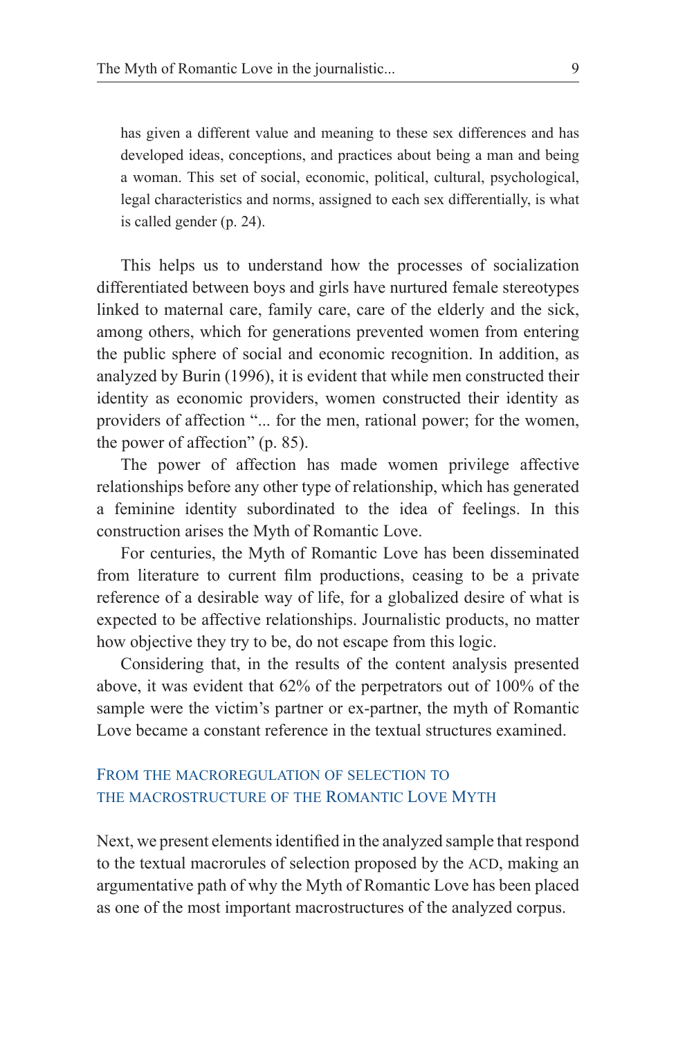has given a different value and meaning to these sex differences and has developed ideas, conceptions, and practices about being a man and being a woman. This set of social, economic, political, cultural, psychological, legal characteristics and norms, assigned to each sex differentially, is what is called gender (p. 24).

This helps us to understand how the processes of socialization differentiated between boys and girls have nurtured female stereotypes linked to maternal care, family care, care of the elderly and the sick, among others, which for generations prevented women from entering the public sphere of social and economic recognition. In addition, as analyzed by Burin (1996), it is evident that while men constructed their identity as economic providers, women constructed their identity as providers of affection "... for the men, rational power; for the women, the power of affection" (p. 85).

The power of affection has made women privilege affective relationships before any other type of relationship, which has generated a feminine identity subordinated to the idea of feelings. In this construction arises the Myth of Romantic Love.

For centuries, the Myth of Romantic Love has been disseminated from literature to current film productions, ceasing to be a private reference of a desirable way of life, for a globalized desire of what is expected to be affective relationships. Journalistic products, no matter how objective they try to be, do not escape from this logic.

Considering that, in the results of the content analysis presented above, it was evident that 62% of the perpetrators out of 100% of the sample were the victim's partner or ex-partner, the myth of Romantic Love became a constant reference in the textual structures examined.

# From the macroregulation of selection to the macrostructure of the Romantic Love Myth

Next, we present elements identified in the analyzed sample that respond to the textual macrorules of selection proposed by the ACD, making an argumentative path of why the Myth of Romantic Love has been placed as one of the most important macrostructures of the analyzed corpus.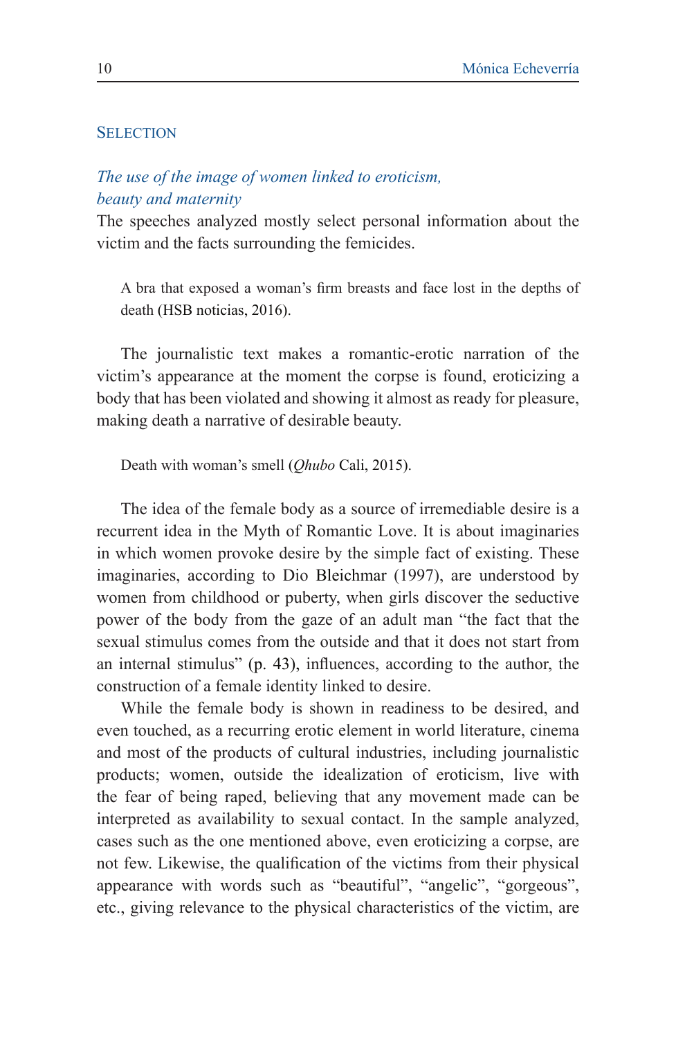### **SELECTION**

## *The use of the image of women linked to eroticism, beauty and maternity*

The speeches analyzed mostly select personal information about the victim and the facts surrounding the femicides.

A bra that exposed a woman's firm breasts and face lost in the depths of death (HSB noticias, 2016).

The journalistic text makes a romantic-erotic narration of the victim's appearance at the moment the corpse is found, eroticizing a body that has been violated and showing it almost as ready for pleasure, making death a narrative of desirable beauty.

Death with woman's smell (*Qhubo* Cali, 2015).

The idea of the female body as a source of irremediable desire is a recurrent idea in the Myth of Romantic Love. It is about imaginaries in which women provoke desire by the simple fact of existing. These imaginaries, according to Dio Bleichmar (1997), are understood by women from childhood or puberty, when girls discover the seductive power of the body from the gaze of an adult man "the fact that the sexual stimulus comes from the outside and that it does not start from an internal stimulus" (p. 43), influences, according to the author, the construction of a female identity linked to desire.

While the female body is shown in readiness to be desired, and even touched, as a recurring erotic element in world literature, cinema and most of the products of cultural industries, including journalistic products; women, outside the idealization of eroticism, live with the fear of being raped, believing that any movement made can be interpreted as availability to sexual contact. In the sample analyzed, cases such as the one mentioned above, even eroticizing a corpse, are not few. Likewise, the qualification of the victims from their physical appearance with words such as "beautiful", "angelic", "gorgeous", etc., giving relevance to the physical characteristics of the victim, are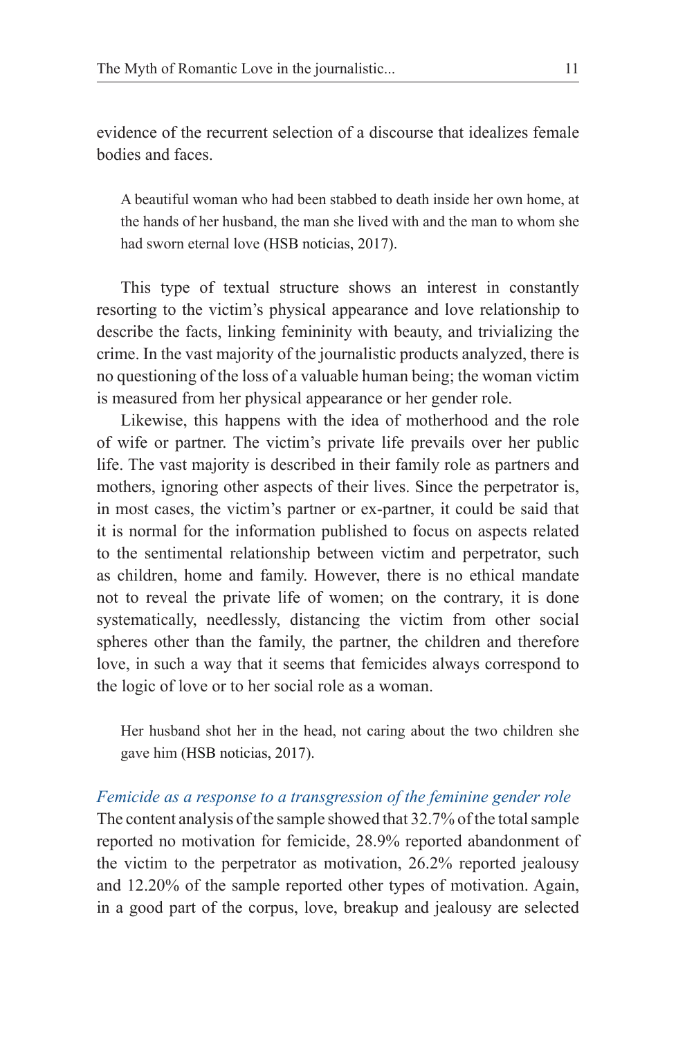evidence of the recurrent selection of a discourse that idealizes female bodies and faces.

A beautiful woman who had been stabbed to death inside her own home, at the hands of her husband, the man she lived with and the man to whom she had sworn eternal love (HSB noticias, 2017).

This type of textual structure shows an interest in constantly resorting to the victim's physical appearance and love relationship to describe the facts, linking femininity with beauty, and trivializing the crime. In the vast majority of the journalistic products analyzed, there is no questioning of the loss of a valuable human being; the woman victim is measured from her physical appearance or her gender role.

Likewise, this happens with the idea of motherhood and the role of wife or partner. The victim's private life prevails over her public life. The vast majority is described in their family role as partners and mothers, ignoring other aspects of their lives. Since the perpetrator is, in most cases, the victim's partner or ex-partner, it could be said that it is normal for the information published to focus on aspects related to the sentimental relationship between victim and perpetrator, such as children, home and family. However, there is no ethical mandate not to reveal the private life of women; on the contrary, it is done systematically, needlessly, distancing the victim from other social spheres other than the family, the partner, the children and therefore love, in such a way that it seems that femicides always correspond to the logic of love or to her social role as a woman.

Her husband shot her in the head, not caring about the two children she gave him (HSB noticias, 2017).

*Femicide as a response to a transgression of the feminine gender role* The content analysis of the sample showed that 32.7% of the total sample reported no motivation for femicide, 28.9% reported abandonment of the victim to the perpetrator as motivation, 26.2% reported jealousy and 12.20% of the sample reported other types of motivation. Again, in a good part of the corpus, love, breakup and jealousy are selected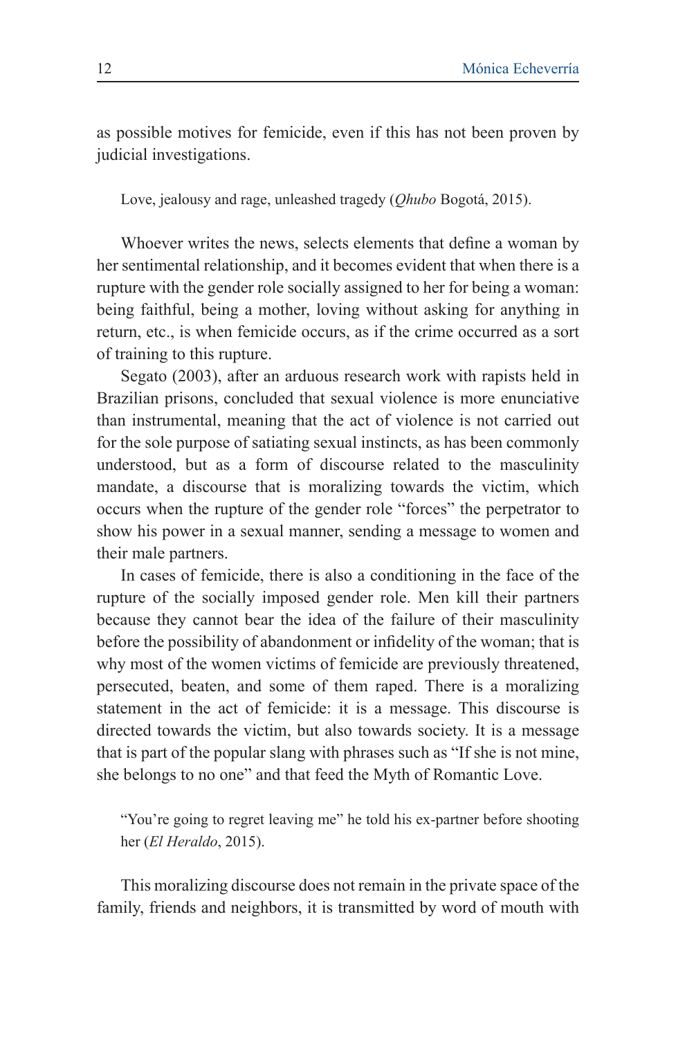as possible motives for femicide, even if this has not been proven by judicial investigations.

Love, jealousy and rage, unleashed tragedy (*Qhubo* Bogotá, 2015).

Whoever writes the news, selects elements that define a woman by her sentimental relationship, and it becomes evident that when there is a rupture with the gender role socially assigned to her for being a woman: being faithful, being a mother, loving without asking for anything in return, etc., is when femicide occurs, as if the crime occurred as a sort of training to this rupture.

Segato (2003), after an arduous research work with rapists held in Brazilian prisons, concluded that sexual violence is more enunciative than instrumental, meaning that the act of violence is not carried out for the sole purpose of satiating sexual instincts, as has been commonly understood, but as a form of discourse related to the masculinity mandate, a discourse that is moralizing towards the victim, which occurs when the rupture of the gender role "forces" the perpetrator to show his power in a sexual manner, sending a message to women and their male partners.

In cases of femicide, there is also a conditioning in the face of the rupture of the socially imposed gender role. Men kill their partners because they cannot bear the idea of the failure of their masculinity before the possibility of abandonment or infidelity of the woman; that is why most of the women victims of femicide are previously threatened, persecuted, beaten, and some of them raped. There is a moralizing statement in the act of femicide: it is a message. This discourse is directed towards the victim, but also towards society. It is a message that is part of the popular slang with phrases such as "If she is not mine, she belongs to no one" and that feed the Myth of Romantic Love.

"You're going to regret leaving me" he told his ex-partner before shooting her (*El Heraldo*, 2015).

This moralizing discourse does not remain in the private space of the family, friends and neighbors, it is transmitted by word of mouth with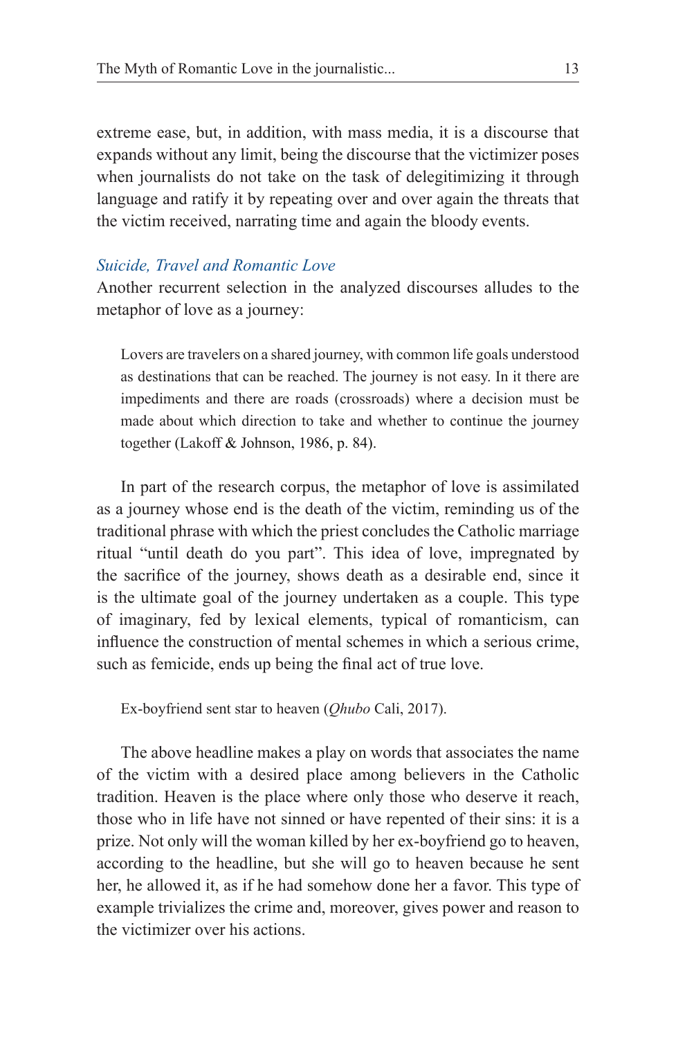extreme ease, but, in addition, with mass media, it is a discourse that expands without any limit, being the discourse that the victimizer poses when journalists do not take on the task of delegitimizing it through language and ratify it by repeating over and over again the threats that the victim received, narrating time and again the bloody events.

#### *Suicide, Travel and Romantic Love*

Another recurrent selection in the analyzed discourses alludes to the metaphor of love as a journey:

Lovers are travelers on a shared journey, with common life goals understood as destinations that can be reached. The journey is not easy. In it there are impediments and there are roads (crossroads) where a decision must be made about which direction to take and whether to continue the journey together (Lakoff & Johnson, 1986, p. 84).

In part of the research corpus, the metaphor of love is assimilated as a journey whose end is the death of the victim, reminding us of the traditional phrase with which the priest concludes the Catholic marriage ritual "until death do you part". This idea of love, impregnated by the sacrifice of the journey, shows death as a desirable end, since it is the ultimate goal of the journey undertaken as a couple. This type of imaginary, fed by lexical elements, typical of romanticism, can influence the construction of mental schemes in which a serious crime, such as femicide, ends up being the final act of true love.

Ex-boyfriend sent star to heaven (*Qhubo* Cali, 2017).

The above headline makes a play on words that associates the name of the victim with a desired place among believers in the Catholic tradition. Heaven is the place where only those who deserve it reach, those who in life have not sinned or have repented of their sins: it is a prize. Not only will the woman killed by her ex-boyfriend go to heaven, according to the headline, but she will go to heaven because he sent her, he allowed it, as if he had somehow done her a favor. This type of example trivializes the crime and, moreover, gives power and reason to the victimizer over his actions.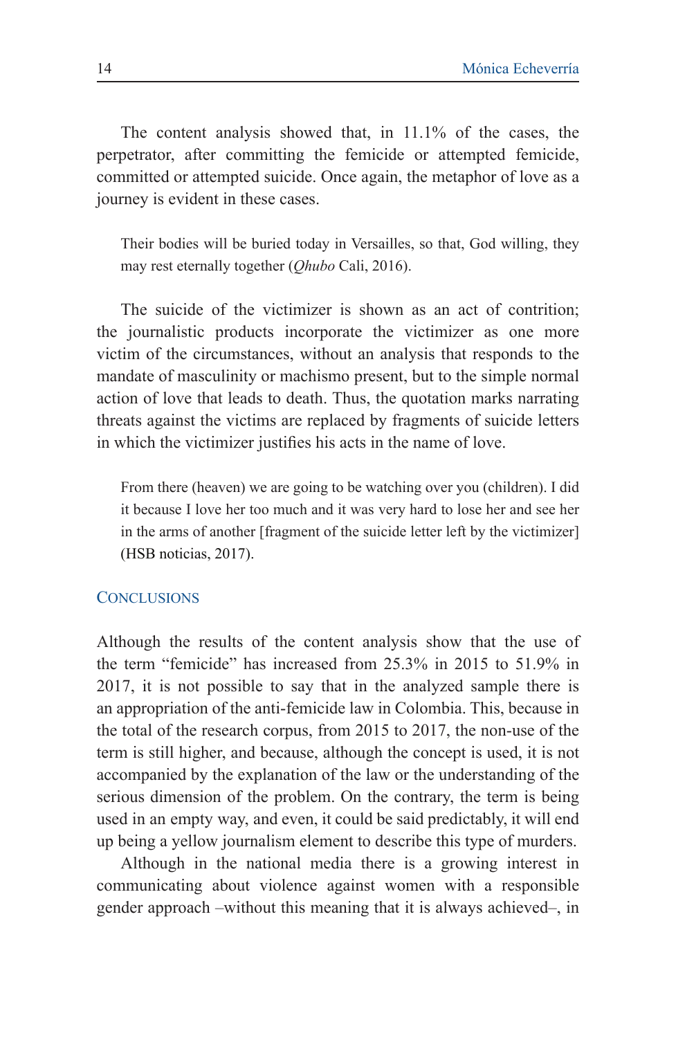The content analysis showed that, in 11.1% of the cases, the perpetrator, after committing the femicide or attempted femicide, committed or attempted suicide. Once again, the metaphor of love as a journey is evident in these cases.

Their bodies will be buried today in Versailles, so that, God willing, they may rest eternally together (*Qhubo* Cali, 2016).

The suicide of the victimizer is shown as an act of contrition; the journalistic products incorporate the victimizer as one more victim of the circumstances, without an analysis that responds to the mandate of masculinity or machismo present, but to the simple normal action of love that leads to death. Thus, the quotation marks narrating threats against the victims are replaced by fragments of suicide letters in which the victimizer justifies his acts in the name of love.

From there (heaven) we are going to be watching over you (children). I did it because I love her too much and it was very hard to lose her and see her in the arms of another [fragment of the suicide letter left by the victimizer] (HSB noticias, 2017).

### **CONCLUSIONS**

Although the results of the content analysis show that the use of the term "femicide" has increased from 25.3% in 2015 to 51.9% in 2017, it is not possible to say that in the analyzed sample there is an appropriation of the anti-femicide law in Colombia. This, because in the total of the research corpus, from 2015 to 2017, the non-use of the term is still higher, and because, although the concept is used, it is not accompanied by the explanation of the law or the understanding of the serious dimension of the problem. On the contrary, the term is being used in an empty way, and even, it could be said predictably, it will end up being a yellow journalism element to describe this type of murders.

Although in the national media there is a growing interest in communicating about violence against women with a responsible gender approach –without this meaning that it is always achieved–, in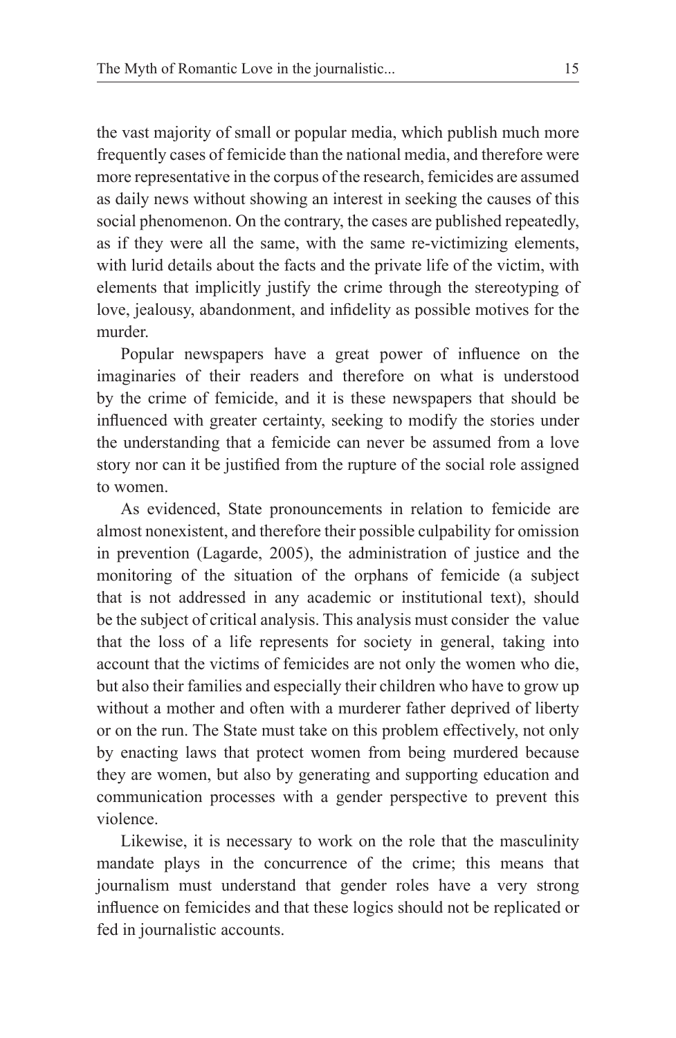the vast majority of small or popular media, which publish much more frequently cases of femicide than the national media, and therefore were more representative in the corpus of the research, femicides are assumed as daily news without showing an interest in seeking the causes of this social phenomenon. On the contrary, the cases are published repeatedly, as if they were all the same, with the same re-victimizing elements, with lurid details about the facts and the private life of the victim, with elements that implicitly justify the crime through the stereotyping of love, jealousy, abandonment, and infidelity as possible motives for the murder.

Popular newspapers have a great power of influence on the imaginaries of their readers and therefore on what is understood by the crime of femicide, and it is these newspapers that should be influenced with greater certainty, seeking to modify the stories under the understanding that a femicide can never be assumed from a love story nor can it be justified from the rupture of the social role assigned to women.

As evidenced, State pronouncements in relation to femicide are almost nonexistent, and therefore their possible culpability for omission in prevention (Lagarde, 2005), the administration of justice and the monitoring of the situation of the orphans of femicide (a subject that is not addressed in any academic or institutional text), should be the subject of critical analysis. This analysis must consider the value that the loss of a life represents for society in general, taking into account that the victims of femicides are not only the women who die, but also their families and especially their children who have to grow up without a mother and often with a murderer father deprived of liberty or on the run. The State must take on this problem effectively, not only by enacting laws that protect women from being murdered because they are women, but also by generating and supporting education and communication processes with a gender perspective to prevent this violence.

Likewise, it is necessary to work on the role that the masculinity mandate plays in the concurrence of the crime; this means that journalism must understand that gender roles have a very strong influence on femicides and that these logics should not be replicated or fed in journalistic accounts.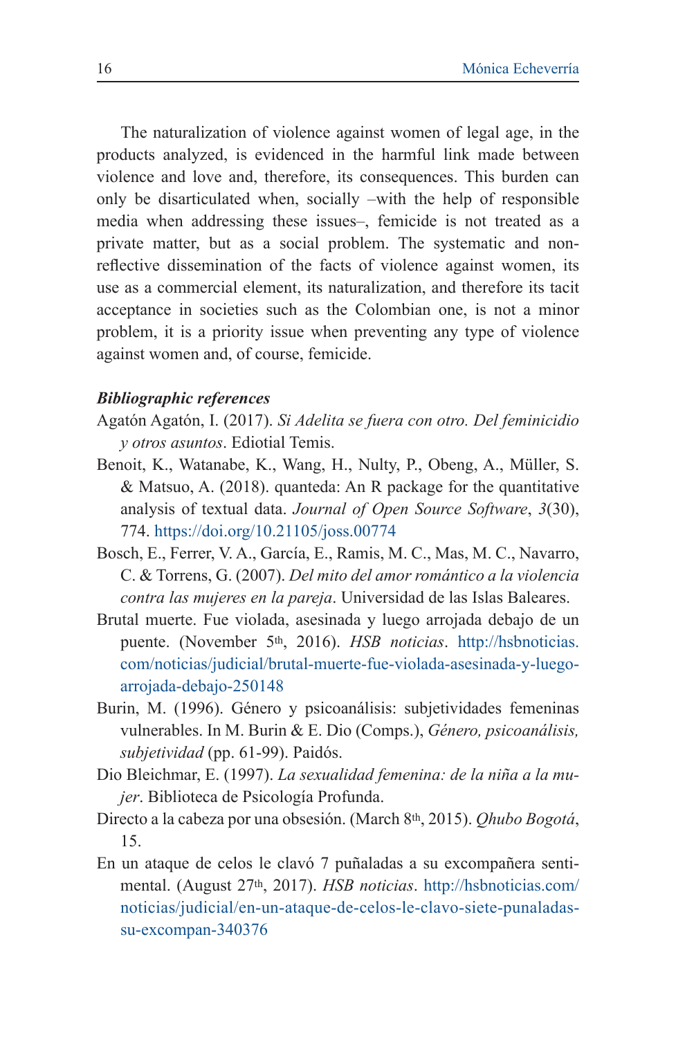The naturalization of violence against women of legal age, in the products analyzed, is evidenced in the harmful link made between violence and love and, therefore, its consequences. This burden can only be disarticulated when, socially –with the help of responsible media when addressing these issues–, femicide is not treated as a private matter, but as a social problem. The systematic and nonreflective dissemination of the facts of violence against women, its use as a commercial element, its naturalization, and therefore its tacit acceptance in societies such as the Colombian one, is not a minor problem, it is a priority issue when preventing any type of violence against women and, of course, femicide.

### *Bibliographic references*

- Agatón Agatón, I. (2017). *Si Adelita se fuera con otro. Del feminicidio y otros asuntos*. Ediotial Temis.
- Benoit, K., Watanabe, K., Wang, H., Nulty, P., Obeng, A., Müller, S. & Matsuo, A. (2018). quanteda: An R package for the quantitative analysis of textual data. *Journal of Open Source Software*, *3*(30), 774. https://doi.org/10.21105/joss.00774
- Bosch, E., Ferrer, V. A., García, E., Ramis, M. C., Mas, M. C., Navarro, C. & Torrens, G. (2007). *Del mito del amor romántico a la violencia contra las mujeres en la pareja*. Universidad de las Islas Baleares.
- Brutal muerte. Fue violada, asesinada y luego arrojada debajo de un puente. (November 5th, 2016). *HSB noticias*. http://hsbnoticias. com/noticias/judicial/brutal-muerte-fue-violada-asesinada-y-luegoarrojada-debajo-250148
- Burin, M. (1996). Género y psicoanálisis: subjetividades femeninas vulnerables. In M. Burin & E. Dio (Comps.), *Género, psicoanálisis, subjetividad* (pp. 61-99). Paidós.
- Dio Bleichmar, E. (1997). *La sexualidad femenina: de la niña a la mujer*. Biblioteca de Psicología Profunda.
- Directo a la cabeza por una obsesión. (March 8th, 2015). *Qhubo Bogotá*, 15.
- En un ataque de celos le clavó 7 puñaladas a su excompañera sentimental. (August 27th, 2017). *HSB noticias*. http://hsbnoticias.com/ noticias/judicial/en-un-ataque-de-celos-le-clavo-siete-punaladassu-excompan-340376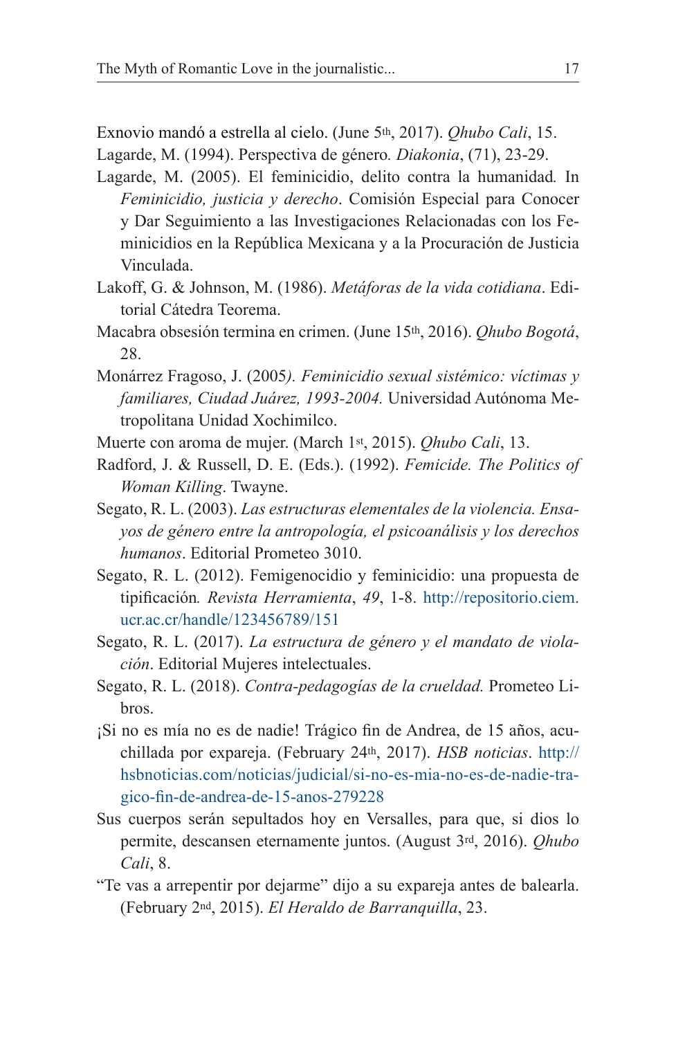Exnovio mandó a estrella al cielo. (June 5th, 2017). *Qhubo Cali*, 15.

Lagarde, M. (1994). Perspectiva de género*. Diakonia*, (71), 23-29.

- Lagarde, M. (2005). El feminicidio, delito contra la humanidad*.* In *Feminicidio, justicia y derecho*. Comisión Especial para Conocer y Dar Seguimiento a las Investigaciones Relacionadas con los Feminicidios en la República Mexicana y a la Procuración de Justicia Vinculada.
- Lakoff, G. & Johnson, M. (1986). *Metáforas de la vida cotidiana*. Editorial Cátedra Teorema.
- Macabra obsesión termina en crimen. (June 15th, 2016). *Qhubo Bogotá*, 28.
- Monárrez Fragoso, J. (2005*). Feminicidio sexual sistémico: víctimas y familiares, Ciudad Juárez, 1993-2004.* Universidad Autónoma Metropolitana Unidad Xochimilco.
- Muerte con aroma de mujer. (March 1st, 2015). *Qhubo Cali*, 13.
- Radford, J. & Russell, D. E. (Eds.). (1992). *Femicide. The Politics of Woman Killing*. Twayne.
- Segato, R. L. (2003). *Las estructuras elementales de la violencia. Ensayos de género entre la antropología, el psicoanálisis y los derechos humanos*. Editorial Prometeo 3010.
- Segato, R. L. (2012). Femigenocidio y feminicidio: una propuesta de tipificación*. Revista Herramienta*, *49*, 1-8. http://repositorio.ciem. ucr.ac.cr/handle/123456789/151
- Segato, R. L. (2017). *La estructura de género y el mandato de violación*. Editorial Mujeres intelectuales.
- Segato, R. L. (2018). *Contra-pedagogías de la crueldad.* Prometeo Libros.
- ¡Si no es mía no es de nadie! Trágico fin de Andrea, de 15 años, acuchillada por expareja. (February 24th, 2017). *HSB noticias*. http:// hsbnoticias.com/noticias/judicial/si-no-es-mia-no-es-de-nadie-tragico-fin-de-andrea-de-15-anos-279228
- Sus cuerpos serán sepultados hoy en Versalles, para que, si dios lo permite, descansen eternamente juntos. (August 3rd, 2016). *Qhubo Cali*, 8.
- "Te vas a arrepentir por dejarme" dijo a su expareja antes de balearla. (February 2nd, 2015). *El Heraldo de Barranquilla*, 23.